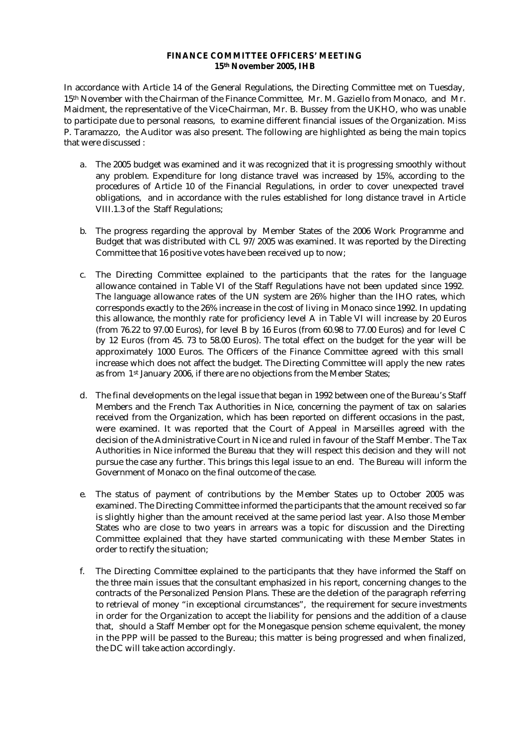## **FINANCE COMMITTEE OFFICERS' MEETING 15th November 2005, IHB**

In accordance with Article 14 of the General Regulations, the Directing Committee met on Tuesday, 15th November with the Chairman of the Finance Committee, Mr. M. Gaziello from Monaco, and Mr. Maidment, the representative of the Vice-Chairman, Mr. B. Bussey from the UKHO, who was unable to participate due to personal reasons, to examine different financial issues of the Organization. Miss P. Taramazzo, the Auditor was also present. The following are highlighted as being the main topics that were discussed :

- a. The 2005 budget was examined and it was recognized that it is progressing smoothly without any problem. Expenditure for long distance travel was increased by 15%, according to the procedures of Article 10 of the Financial Regulations, in order to cover unexpected travel obligations, and in accordance with the rules established for long distance travel in Article VIII.1.3 of the Staff Regulations;
- b. The progress regarding the approval by Member States of the 2006 Work Programme and Budget that was distributed with CL 97/2005 was examined. It was reported by the Directing Committee that 16 positive votes have been received up to now;
- c. The Directing Committee explained to the participants that the rates for the language allowance contained in Table VI of the Staff Regulations have not been updated since 1992. The language allowance rates of the UN system are 26% higher than the IHO rates, which corresponds exactly to the 26% increase in the cost of living in Monaco since 1992. In updating this allowance, the monthly rate for proficiency level A in Table VI will increase by 20 Euros (from 76.22 to 97.00 Euros), for level B by 16 Euros (from 60.98 to 77.00 Euros) and for level C by 12 Euros (from 45. 73 to 58.00 Euros). The total effect on the budget for the year will be approximately 1000 Euros. The Officers of the Finance Committee agreed with this small increase which does not affect the budget. The Directing Committee will apply the new rates as from 1st January 2006, if there are no objections from the Member States;
- d. The final developments on the legal issue that began in 1992 between one of the Bureau's Staff Members and the French Tax Authorities in Nice, concerning the payment of tax on salaries received from the Organization, which has been reported on different occasions in the past, were examined. It was reported that the Court of Appeal in Marseilles agreed with the decision of the Administrative Court in Nice and ruled in favour of the Staff Member. The Tax Authorities in Nice informed the Bureau that they will respect this decision and they will not pursue the case any further. This brings this legal issue to an end. The Bureau will inform the Government of Monaco on the final outcome of the case.
- e. The status of payment of contributions by the Member States up to October 2005 was examined. The Directing Committee informed the participants that the amount received so far is slightly higher than the amount received at the same period last year. Also those Member States who are close to two years in arrears was a topic for discussion and the Directing Committee explained that they have started communicating with these Member States in order to rectify the situation;
- f. The Directing Committee explained to the participants that they have informed the Staff on the three main issues that the consultant emphasized in his report, concerning changes to the contracts of the Personalized Pension Plans. These are the deletion of the paragraph referring to retrieval of money "in exceptional circumstances", the requirement for secure investments in order for the Organization to accept the liability for pensions and the addition of a clause that, should a Staff Member opt for the Monegasque pension scheme equivalent, the money in the PPP will be passed to the Bureau; this matter is being progressed and when finalized, the DC will take action accordingly.